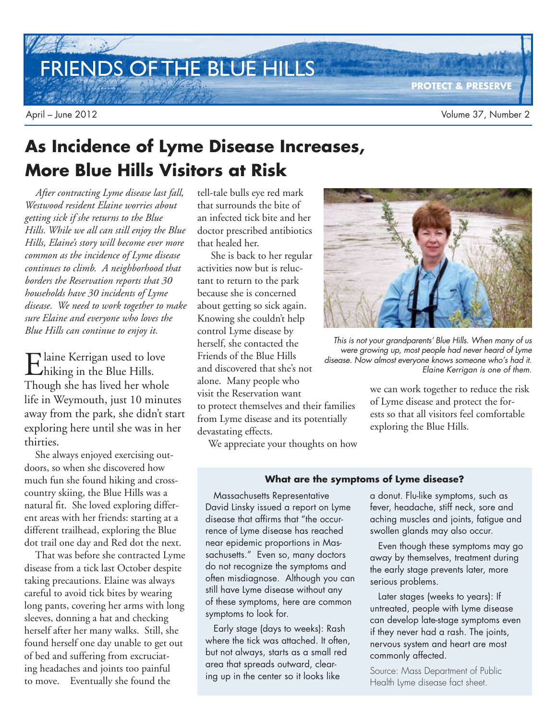FRIENDS OF THE BLUE HILLS

# **As Incidence of Lyme Disease Increases, More Blue Hills Visitors at Risk**

*After contracting Lyme disease last fall, Westwood resident Elaine worries about getting sick if she returns to the Blue Hills. While we all can still enjoy the Blue Hills, Elaine's story will become ever more common as the incidence of Lyme disease continues to climb. A neighborhood that borders the Reservation reports that 30 households have 30 incidents of Lyme disease. We need to work together to make sure Elaine and everyone who loves the Blue Hills can continue to enjoy it.* 

Elaine Kerrigan used to love<br>
hiking in the Blue Hills. hiking in the Blue Hills. Though she has lived her whole life in Weymouth, just 10 minutes away from the park, she didn't start exploring here until she was in her thirties.

She always enjoyed exercising outdoors, so when she discovered how much fun she found hiking and crosscountry skiing, the Blue Hills was a natural fit. She loved exploring different areas with her friends: starting at a different trailhead, exploring the Blue dot trail one day and Red dot the next.

That was before she contracted Lyme disease from a tick last October despite taking precautions. Elaine was always careful to avoid tick bites by wearing long pants, covering her arms with long sleeves, donning a hat and checking herself after her many walks. Still, she found herself one day unable to get out of bed and suffering from excruciating headaches and joints too painful to move. Eventually she found the

tell-tale bulls eye red mark that surrounds the bite of an infected tick bite and her doctor prescribed antibiotics that healed her.

 She is back to her regular activities now but is reluctant to return to the park because she is concerned about getting so sick again. Knowing she couldn't help control Lyme disease by herself, she contacted the Friends of the Blue Hills and discovered that she's not alone. Many people who visit the Reservation want to protect themselves and their families from Lyme disease and its potentially devastating effects.



This is not your grandparents' Blue Hills. When many of us were growing up, most people had never heard of Lyme disease. Now almost everyone knows someone who's had it. Elaine Kerrigan is one of them.

we can work together to reduce the risk of Lyme disease and protect the forests so that all visitors feel comfortable exploring the Blue Hills.

We appreciate your thoughts on how

#### **What are the symptoms of Lyme disease?**

Massachusetts Representative David Linsky issued a report on Lyme disease that affirms that "the occurrence of Lyme disease has reached near epidemic proportions in Massachusetts." Even so, many doctors do not recognize the symptoms and often misdiagnose. Although you can still have Lyme disease without any of these symptoms, here are common symptoms to look for.

Early stage (days to weeks): Rash where the tick was attached. It often, but not always, starts as a small red area that spreads outward, clearing up in the center so it looks like

a donut. Flu-like symptoms, such as fever, headache, stiff neck, sore and aching muscles and joints, fatigue and swollen glands may also occur.

Even though these symptoms may go away by themselves, treatment during the early stage prevents later, more serious problems.

Later stages (weeks to years): If untreated, people with Lyme disease can develop late-stage symptoms even if they never had a rash. The joints, nervous system and heart are most commonly affected.

Source: Mass Department of Public Health Lyme disease fact sheet.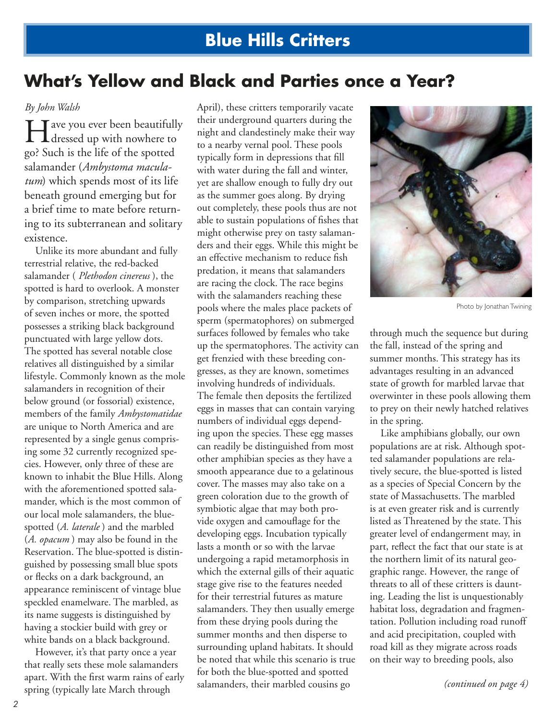## **What's Yellow and Black and Parties once a Year?**

#### *By John Walsh*

Helpha we you ever been beautifully<br>dressed up with nowhere to  $\blacksquare$  T ave you ever been beautifully go? Such is the life of the spotted salamander (*Ambystoma maculatum*) which spends most of its life beneath ground emerging but for a brief time to mate before returning to its subterranean and solitary existence.

Unlike its more abundant and fully terrestrial relative, the red-backed salamander ( *Plethodon cinereus* ), the spotted is hard to overlook. A monster by comparison, stretching upwards of seven inches or more, the spotted possesses a striking black background punctuated with large yellow dots. The spotted has several notable close relatives all distinguished by a similar lifestyle. Commonly known as the mole salamanders in recognition of their below ground (or fossorial) existence, members of the family *Ambystomatidae* are unique to North America and are represented by a single genus comprising some 32 currently recognized species. However, only three of these are known to inhabit the Blue Hills. Along with the aforementioned spotted salamander, which is the most common of our local mole salamanders, the bluespotted (*A. laterale* ) and the marbled (*A. opacum* ) may also be found in the Reservation. The blue-spotted is distinguished by possessing small blue spots or flecks on a dark background, an appearance reminiscent of vintage blue speckled enamelware. The marbled, as its name suggests is distinguished by having a stockier build with grey or white bands on a black background.

However, it's that party once a year that really sets these mole salamanders apart. With the first warm rains of early spring (typically late March through

April), these critters temporarily vacate their underground quarters during the night and clandestinely make their way to a nearby vernal pool. These pools typically form in depressions that fill with water during the fall and winter, yet are shallow enough to fully dry out as the summer goes along. By drying out completely, these pools thus are not able to sustain populations of fishes that might otherwise prey on tasty salamanders and their eggs. While this might be an effective mechanism to reduce fish predation, it means that salamanders are racing the clock. The race begins with the salamanders reaching these pools where the males place packets of sperm (spermatophores) on submerged surfaces followed by females who take up the spermatophores. The activity can get frenzied with these breeding congresses, as they are known, sometimes involving hundreds of individuals. The female then deposits the fertilized eggs in masses that can contain varying numbers of individual eggs depending upon the species. These egg masses can readily be distinguished from most other amphibian species as they have a smooth appearance due to a gelatinous cover. The masses may also take on a green coloration due to the growth of symbiotic algae that may both provide oxygen and camouflage for the developing eggs. Incubation typically lasts a month or so with the larvae undergoing a rapid metamorphosis in which the external gills of their aquatic stage give rise to the features needed for their terrestrial futures as mature salamanders. They then usually emerge from these drying pools during the summer months and then disperse to surrounding upland habitats. It should be noted that while this scenario is true for both the blue-spotted and spotted salamanders, their marbled cousins go



Photo by Jonathan Twining

through much the sequence but during the fall, instead of the spring and summer months. This strategy has its advantages resulting in an advanced state of growth for marbled larvae that overwinter in these pools allowing them to prey on their newly hatched relatives in the spring.

Like amphibians globally, our own populations are at risk. Although spotted salamander populations are relatively secure, the blue-spotted is listed as a species of Special Concern by the state of Massachusetts. The marbled is at even greater risk and is currently listed as Threatened by the state. This greater level of endangerment may, in part, reflect the fact that our state is at the northern limit of its natural geographic range. However, the range of threats to all of these critters is daunting. Leading the list is unquestionably habitat loss, degradation and fragmentation. Pollution including road runoff and acid precipitation, coupled with road kill as they migrate across roads on their way to breeding pools, also

*(continued on page 4)*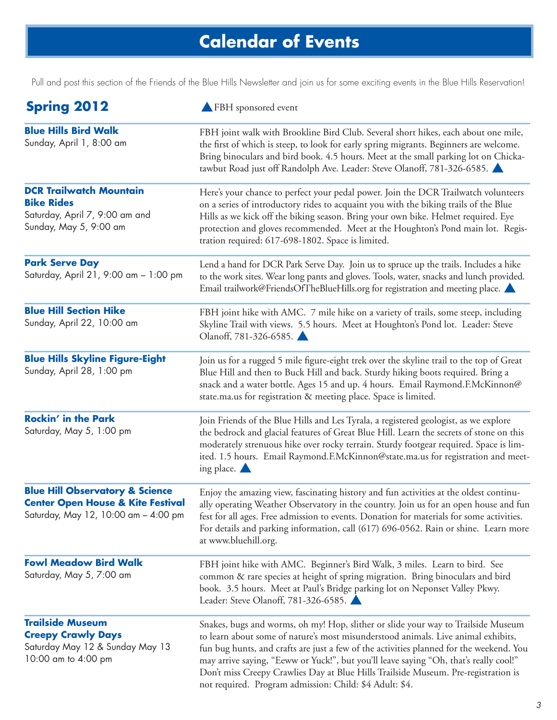# **Calendar of Events**

Pull and post this section of the Friends of the Blue Hills Newsletter and join us for some exciting events in the Blue Hills Reservation!

| <b>Spring 2012</b>                                                                                                                 | FBH sponsored event                                                                                                                                                                                                                                                                                                                                                                                                                                                                                         |
|------------------------------------------------------------------------------------------------------------------------------------|-------------------------------------------------------------------------------------------------------------------------------------------------------------------------------------------------------------------------------------------------------------------------------------------------------------------------------------------------------------------------------------------------------------------------------------------------------------------------------------------------------------|
| <b>Blue Hills Bird Walk</b><br>Sunday, April 1, 8:00 am                                                                            | FBH joint walk with Brookline Bird Club. Several short hikes, each about one mile,<br>the first of which is steep, to look for early spring migrants. Beginners are welcome.<br>Bring binoculars and bird book. 4.5 hours. Meet at the small parking lot on Chicka-<br>tawbut Road just off Randolph Ave. Leader: Steve Olanoff, 781-326-6585.                                                                                                                                                              |
| <b>DCR Trailwatch Mountain</b><br><b>Bike Rides</b><br>Saturday, April 7, 9:00 am and<br>Sunday, May 5, 9:00 am                    | Here's your chance to perfect your pedal power. Join the DCR Trailwatch volunteers<br>on a series of introductory rides to acquaint you with the biking trails of the Blue<br>Hills as we kick off the biking season. Bring your own bike. Helmet required. Eye<br>protection and gloves recommended. Meet at the Houghton's Pond main lot. Regis-<br>tration required: 617-698-1802. Space is limited.                                                                                                     |
| <b>Park Serve Day</b><br>Saturday, April 21, 9:00 am - 1:00 pm                                                                     | Lend a hand for DCR Park Serve Day. Join us to spruce up the trails. Includes a hike<br>to the work sites. Wear long pants and gloves. Tools, water, snacks and lunch provided.<br>Email trailwork@FriendsOfTheBlueHills.org for registration and meeting place.                                                                                                                                                                                                                                            |
| <b>Blue Hill Section Hike</b><br>Sunday, April 22, 10:00 am                                                                        | FBH joint hike with AMC. 7 mile hike on a variety of trails, some steep, including<br>Skyline Trail with views. 5.5 hours. Meet at Houghton's Pond lot. Leader: Steve<br>Olanoff, 781-326-6585.                                                                                                                                                                                                                                                                                                             |
| <b>Blue Hills Skyline Figure-Eight</b><br>Sunday, April 28, 1:00 pm                                                                | Join us for a rugged 5 mile figure-eight trek over the skyline trail to the top of Great<br>Blue Hill and then to Buck Hill and back. Sturdy hiking boots required. Bring a<br>snack and a water bottle. Ages 15 and up. 4 hours. Email Raymond.F.McKinnon@<br>state.ma.us for registration & meeting place. Space is limited.                                                                                                                                                                              |
| <b>Rockin' in the Park</b><br>Saturday, May 5, 1:00 pm                                                                             | Join Friends of the Blue Hills and Les Tyrala, a registered geologist, as we explore<br>the bedrock and glacial features of Great Blue Hill. Learn the secrets of stone on this<br>moderately strenuous hike over rocky terrain. Sturdy footgear required. Space is lim-<br>ited. 1.5 hours. Email Raymond.F.McKinnon@state.ma.us for registration and meet-<br>ing place. $\blacktriangle$                                                                                                                 |
| <b>Blue Hill Observatory &amp; Science</b><br><b>Center Open House &amp; Kite Festival</b><br>Saturday, May 12, 10:00 am - 4:00 pm | Enjoy the amazing view, fascinating history and fun activities at the oldest continu-<br>ally operating Weather Observatory in the country. Join us for an open house and fun<br>fest for all ages. Free admission to events. Donation for materials for some activities.<br>For details and parking information, call (617) 696-0562. Rain or shine. Learn more<br>at www.bluehill.org.                                                                                                                    |
| <b>Fowl Meadow Bird Walk</b><br>Saturday, May 5, 7:00 am                                                                           | FBH joint hike with AMC. Beginner's Bird Walk, 3 miles. Learn to bird. See<br>common & rare species at height of spring migration. Bring binoculars and bird<br>book. 3.5 hours. Meet at Paul's Bridge parking lot on Neponset Valley Pkwy.<br>Leader: Steve Olanoff, 781-326-6585.                                                                                                                                                                                                                         |
| <b>Trailside Museum</b><br><b>Creepy Crawly Days</b><br>Saturday May 12 & Sunday May 13<br>10:00 am to 4:00 pm                     | Snakes, bugs and worms, oh my! Hop, slither or slide your way to Trailside Museum<br>to learn about some of nature's most misunderstood animals. Live animal exhibits,<br>fun bug hunts, and crafts are just a few of the activities planned for the weekend. You<br>may arrive saying, "Eeww or Yuck!", but you'll leave saying "Oh, that's really cool!"<br>Don't miss Creepy Crawlies Day at Blue Hills Trailside Museum. Pre-registration is<br>not required. Program admission: Child: \$4 Adult: \$4. |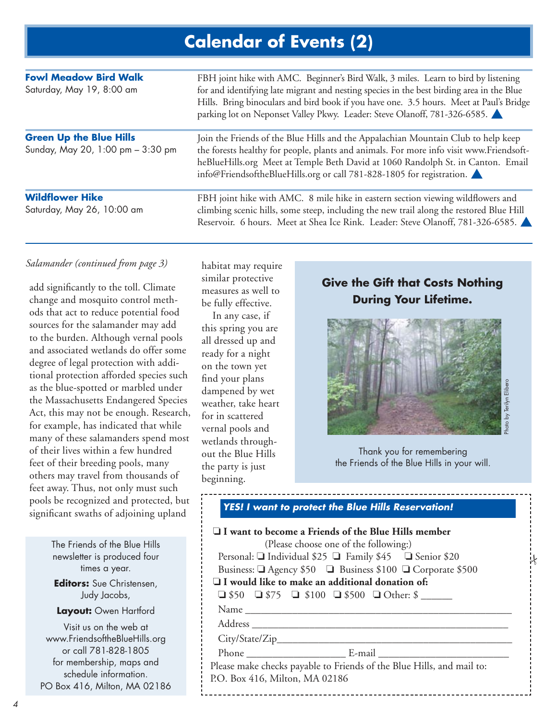# **Calendar of Events (2)**

| <b>Fowl Meadow Bird Walk</b><br>Saturday, May 19, 8:00 am           | FBH joint hike with AMC. Beginner's Bird Walk, 3 miles. Learn to bird by listening<br>for and identifying late migrant and nesting species in the best birding area in the Blue<br>Hills. Bring binoculars and bird book if you have one. 3.5 hours. Meet at Paul's Bridge<br>parking lot on Neponset Valley Pkwy. Leader: Steve Olanoff, 781-326-6585. |
|---------------------------------------------------------------------|---------------------------------------------------------------------------------------------------------------------------------------------------------------------------------------------------------------------------------------------------------------------------------------------------------------------------------------------------------|
| <b>Green Up the Blue Hills</b><br>Sunday, May 20, 1:00 pm - 3:30 pm | Join the Friends of the Blue Hills and the Appalachian Mountain Club to help keep<br>the forests healthy for people, plants and animals. For more info visit www.Friendsoft-<br>heBlueHills.org Meet at Temple Beth David at 1060 Randolph St. in Canton. Email<br>info@FriendsoftheBlueHills.org or call 781-828-1805 for registration.                |
| <b>Wildflower Hike</b><br>Saturday, May 26, 10:00 am                | FBH joint hike with AMC. 8 mile hike in eastern section viewing wildflowers and<br>climbing scenic hills, some steep, including the new trail along the restored Blue Hill<br>Reservoir. 6 hours. Meet at Shea Ice Rink. Leader: Steve Olanoff, 781-326-6585.                                                                                           |

### *Salamander (continued from page 3)*

add significantly to the toll. Climate change and mosquito control methods that act to reduce potential food sources for the salamander may add to the burden. Although vernal pools and associated wetlands do offer some degree of legal protection with additional protection afforded species such as the blue-spotted or marbled under the Massachusetts Endangered Species Act, this may not be enough. Research, for example, has indicated that while many of these salamanders spend most of their lives within a few hundred feet of their breeding pools, many others may travel from thousands of feet away. Thus, not only must such pools be recognized and protected, but significant swaths of adjoining upland

> The Friends of the Blue Hills newsletter is produced four times a year. **Editors:** Sue Christensen, Judy Jacobs, **Layout:** Owen Hartford Visit us on the web at

www.FriendsoftheBlueHills.org or call 781-828-1805 for membership, maps and schedule information. PO Box 416, Milton, MA 02186

habitat may require similar protective measures as well to be fully effective.

In any case, if this spring you are all dressed up and ready for a night on the town yet find your plans dampened by wet weather, take heart for in scattered vernal pools and wetlands throughout the Blue Hills the party is just beginning.

**Give the Gift that Costs Nothing During Your Lifetime.**



Thank you for remembering the Friends of the Blue Hills in your will.

.<br>N

#### **YES! I want to protect the Blue Hills Reservation!**

| $\Box$ I want to become a Friends of the Blue Hills member<br>(Please choose one of the following:) |
|-----------------------------------------------------------------------------------------------------|
| Personal: ■ Individual \$25 ■ Family \$45 ■ Senior \$20                                             |
| Business: □ Agency \$50 □ Business \$100 □ Corporate \$500                                          |
| $\Box$ I would like to make an additional donation of:                                              |
| $\Box$ \$50 $\Box$ \$75 $\Box$ \$100 $\Box$ \$500 $\Box$ Other: \$                                  |
|                                                                                                     |
|                                                                                                     |
|                                                                                                     |
|                                                                                                     |
| Please make checks payable to Friends of the Blue Hills, and mail to:                               |
| P.O. Box 416, Milton, MA 02186                                                                      |
|                                                                                                     |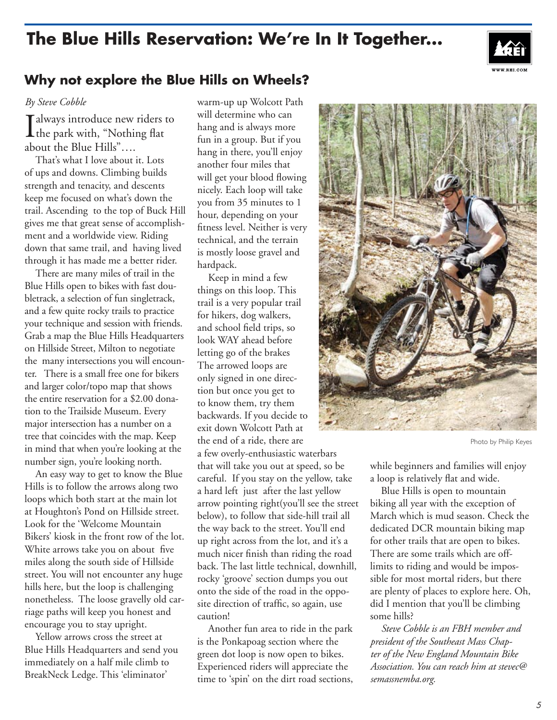# **The Blue Hills Reservation: We're In It Together...**



## **Why not explore the Blue Hills on Wheels?**

#### *By Steve Cobble*

Talways introduce new riders to L the park with, "Nothing flat about the Blue Hills"….

That's what I love about it. Lots of ups and downs. Climbing builds strength and tenacity, and descents keep me focused on what's down the trail. Ascending to the top of Buck Hill gives me that great sense of accomplishment and a worldwide view. Riding down that same trail, and having lived through it has made me a better rider.

There are many miles of trail in the Blue Hills open to bikes with fast doubletrack, a selection of fun singletrack, and a few quite rocky trails to practice your technique and session with friends. Grab a map the Blue Hills Headquarters on Hillside Street, Milton to negotiate the many intersections you will encounter. There is a small free one for bikers and larger color/topo map that shows the entire reservation for a \$2.00 donation to the Trailside Museum. Every major intersection has a number on a tree that coincides with the map. Keep in mind that when you're looking at the number sign, you're looking north.

An easy way to get to know the Blue Hills is to follow the arrows along two loops which both start at the main lot at Houghton's Pond on Hillside street. Look for the 'Welcome Mountain Bikers' kiosk in the front row of the lot. White arrows take you on about five miles along the south side of Hillside street. You will not encounter any huge hills here, but the loop is challenging nonetheless. The loose gravelly old carriage paths will keep you honest and encourage you to stay upright.

Yellow arrows cross the street at Blue Hills Headquarters and send you immediately on a half mile climb to BreakNeck Ledge. This 'eliminator'

warm-up up Wolcott Path will determine who can hang and is always more fun in a group. But if you hang in there, you'll enjoy another four miles that will get your blood flowing nicely. Each loop will take you from 35 minutes to 1 hour, depending on your fitness level. Neither is very technical, and the terrain is mostly loose gravel and hardpack.

Keep in mind a few things on this loop. This trail is a very popular trail for hikers, dog walkers, and school field trips, so look WAY ahead before letting go of the brakes The arrowed loops are only signed in one direction but once you get to to know them, try them backwards. If you decide to exit down Wolcott Path at the end of a ride, there are

a few overly-enthusiastic waterbars that will take you out at speed, so be careful. If you stay on the yellow, take a hard left just after the last yellow arrow pointing right(you'll see the street below), to follow that side-hill trail all the way back to the street. You'll end up right across from the lot, and it's a much nicer finish than riding the road back. The last little technical, downhill, rocky 'groove' section dumps you out onto the side of the road in the opposite direction of traffic, so again, use caution!

Another fun area to ride in the park is the Ponkapoag section where the green dot loop is now open to bikes. Experienced riders will appreciate the time to 'spin' on the dirt road sections,



Photo by Philip Keyes

while beginners and families will enjoy a loop is relatively flat and wide.

Blue Hills is open to mountain biking all year with the exception of March which is mud season. Check the dedicated DCR mountain biking map for other trails that are open to bikes. There are some trails which are offlimits to riding and would be impossible for most mortal riders, but there are plenty of places to explore here. Oh, did I mention that you'll be climbing some hills?

*Steve Cobble is an FBH member and president of the Southeast Mass Chapter of the New England Mountain Bike Association. You can reach him at stevec@ semassnemba.org.*